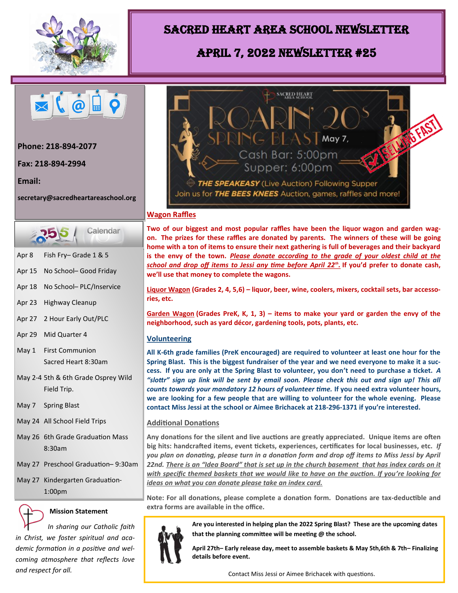

## Sacred Heart Area School Newsletter

# April 7, 2022 Newsletter #25



**Phone: 218-894-2077** 

**Fax: 218-894-2994** 

**Email:** 

**secretary@sacredheartareaschool.org**



- Apr 8 Fish Fry– Grade 1 & 5
- Apr 15 No School– Good Friday
- Apr 18 No School– PLC/Inservice
- Apr 23 Highway Cleanup
- Apr 27 2 Hour Early Out/PLC
- Apr 29 Mid Quarter 4
- May 1 First Communion Sacred Heart 8:30am
- May 2-4 5th & 6th Grade Osprey Wild Field Trip.
- May 7 Spring Blast
- May 24 All School Field Trips
- May 26 6th Grade Graduation Mass 8:30am
- May 27 Preschool Graduation– 9:30am
- May 27 Kindergarten Graduation-1:00pm



### **Mission Statement**

 *In sharing our Catholic faith in Christ, we foster spiritual and academic formation in a positive and welcoming atmosphere that reflects love and respect for all.*



#### **Wagon Raffles**

**Two of our biggest and most popular raffles have been the liquor wagon and garden wagon. The prizes for these raffles are donated by parents. The winners of these will be going home with a ton of items to ensure their next gathering is full of beverages and their backyard is the envy of the town.** *Please donate according to the grade of your oldest child at the school and drop off items to Jessi any time before April 22th .* **If you'd prefer to donate cash, we'll use that money to complete the wagons.**

**Liquor Wagon (Grades 2, 4, 5,6) – liquor, beer, wine, coolers, mixers, cocktail sets, bar accessories, etc.**

**Garden Wagon (Grades PreK, K, 1, 3) – items to make your yard or garden the envy of the neighborhood, such as yard décor, gardening tools, pots, plants, etc.**

#### **Volunteering**

**All K-6th grade families (PreK encouraged) are required to volunteer at least one hour for the Spring Blast. This is the biggest fundraiser of the year and we need everyone to make it a success. If you are only at the Spring Blast to volunteer, you don't need to purchase a ticket.** *A "slottr" sign up link will be sent by email soon. Please check this out and sign up! This all counts towards your mandatory 12 hours of volunteer time.* **If you need extra volunteer hours, we are looking for a few people that are willing to volunteer for the whole evening. Please contact Miss Jessi at the school or Aimee Brichacek at 218-296-1371 if you're interested.**

#### **Additional Donations**

**Any donations for the silent and live auctions are greatly appreciated. Unique items are often big hits: handcrafted items, event tickets, experiences, certificates for local businesses, etc.** *If you plan on donating, please turn in a donation form and drop off items to Miss Jessi by April 22nd. There is an "Idea Board" that is set up in the church basement that has index cards on it with specific themed baskets that we would like to have on the auction. If you're looking for ideas on what you can donate please take an index card.*

**Note: For all donations, please complete a donation form. Donations are tax-deductible and extra forms are available in the office.**



**Are you interested in helping plan the 2022 Spring Blast? These are the upcoming dates that the planning committee will be meeting @ the school.**

**April 27th– Early release day, meet to assemble baskets & May 5th,6th & 7th– Finalizing details before event.**

Contact Miss Jessi or Aimee Brichacek with questions.